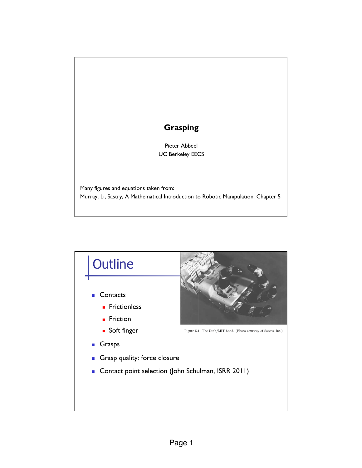## **Grasping**

Pieter Abbeel UC Berkeley EECS

Many figures and equations taken from: Murray, Li, Sastry, A Mathematical Introduction to Robotic Manipulation, Chapter 5

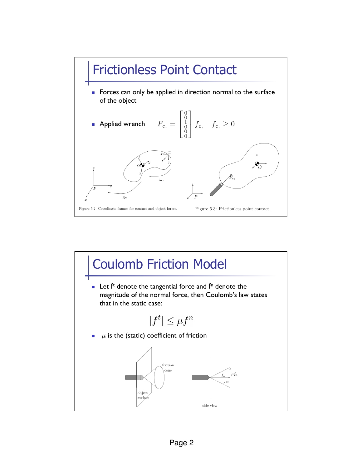

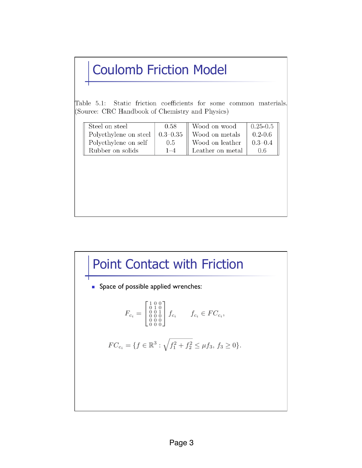## Coulomb Friction Model

Static friction coefficients for some common materials. Table  $5.1$ : (Source: CRC Handbook of Chemistry and Physics)

| Steel on steel        | 0.58    | Wood on wood              | $0.25\hbox{--}0.5$ |
|-----------------------|---------|---------------------------|--------------------|
| Polyethylene on steel |         | $0.3-0.35$ Wood on metals | $0.2 - 0.6$        |
| Polyethylene on self  | 0.5     | Wood on leather           | $0.3 - 0.4$        |
| Rubber on solids      | $1 - 4$ | Leather on metal          | 0.6                |



**BE Space of possible applied wrenches:** 

$$
F_{c_i} = \begin{bmatrix} 1 & 0 & 0 \\ 0 & 1 & 0 \\ 0 & 0 & 1 \\ 0 & 0 & 0 \\ 0 & 0 & 0 \end{bmatrix} f_{c_i} \qquad f_{c_i} \in FC_{c_i},
$$

$$
FC_{c_i} = \{ f \in \mathbb{R}^3 : \sqrt{f_1^2 + f_2^2} \le \mu f_3, \ f_3 \ge 0 \}.
$$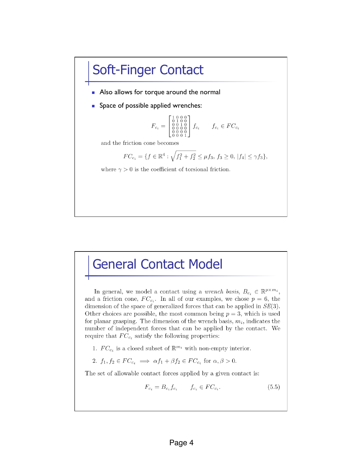## Soft-Finger Contact

- **Also allows for torque around the normal**
- Space of possible applied wrenches:

$$
F_{c_i} = \begin{bmatrix} 1 & 0 & 0 & 0 \\ 0 & 1 & 0 & 0 \\ 0 & 0 & 1 & 0 \\ 0 & 0 & 0 & 0 \\ 0 & 0 & 0 & 1 \\ 0 & 0 & 0 & 1 \end{bmatrix} f_{c_i} \qquad f_{c_i} \in FC_{c_i}
$$

and the friction cone becomes

$$
FC_{c_i} = \{ f \in \mathbb{R}^4 : \sqrt{f_1^2 + f_2^2} \le \mu f_3, \ f_3 \ge 0, \ |f_4| \le \gamma f_3 \},\
$$

where  $\gamma > 0$  is the coefficient of torsional friction.

## General Contact Model

In general, we model a contact using a *wrench basis*,  $B_{c_i} \in \mathbb{R}^{p \times m_i}$ , and a friction cone,  $FC_{c_i}$ . In all of our examples, we chose  $p = 6$ , the dimension of the space of generalized forces that can be applied in  $SE(3)$ . Other choices are possible, the most common being  $p = 3$ , which is used for planar grasping. The dimension of the wrench basis,  $m_i$ , indicates the number of independent forces that can be applied by the contact. We require that  $FC_{c_i}$  satisfy the following properties:

- 1.  $FC_{c_i}$  is a closed subset of  $\mathbb{R}^{m_i}$  with non-empty interior.
- 2.  $f_1, f_2 \in FC_{c_i} \implies \alpha f_1 + \beta f_2 \in FC_{c_i}$  for  $\alpha, \beta > 0$ .

The set of allowable contact forces applied by a given contact is:

$$
F_{c_i} = B_{c_i} f_{c_i} \qquad f_{c_i} \in FC_{c_i}.\tag{5.5}
$$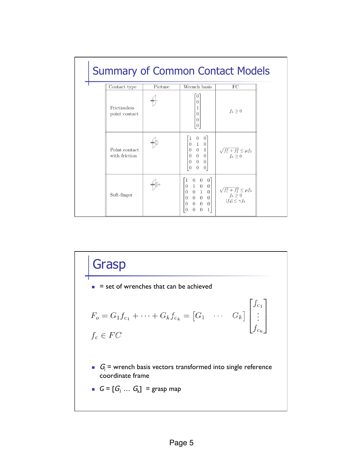| <b>Summary of Common Contact Models</b> |         |                                                                                                                                                                                                                                               |                                                                                                     |  |  |  |  |
|-----------------------------------------|---------|-----------------------------------------------------------------------------------------------------------------------------------------------------------------------------------------------------------------------------------------------|-----------------------------------------------------------------------------------------------------|--|--|--|--|
| Contact type                            | Picture | Wrench basis                                                                                                                                                                                                                                  | FC                                                                                                  |  |  |  |  |
| Frictionless<br>point contact           |         | $\overline{0}$<br>$\Omega$<br>1<br>$\theta$<br>$\overline{0}$<br>$\overline{0}$                                                                                                                                                               | $f_1\geq 0$                                                                                         |  |  |  |  |
| Point contact<br>with friction          |         | $\overline{0}$<br>$\vert$ 0<br>$\begin{bmatrix} 1 & 0 \\ 0 & 1 \\ 0 & 0 \\ 0 & 0 \\ \end{bmatrix}$<br>$\boldsymbol{0}$<br>$\overline{0}$<br>$\theta$<br>$\theta$<br>$\overline{0}$<br>$\theta$<br>$\vert 0 \vert$                             | $\begin{array}{c}\sqrt{f_1^2+f_2^2}\leq\mu f_3\\ f_3\geq 0\end{array}$                              |  |  |  |  |
| Soft-finger                             |         | 0 <sup>1</sup><br>$\overline{0}$<br>$\overline{0}$<br>1<br>$0\quad 1\quad 0$<br>$\overline{0}$<br>$0 \quad 1 \quad 0$<br>$\theta$<br>$0\quad 0\quad 0$<br>$\overline{0}$<br>$0 \quad 0 \quad 0$<br>$\theta$<br>$\theta$<br>0<br>1<br>$\theta$ | $\begin{array}{c} \sqrt{f_1^2+f_2^2}\leq\mu f_3\\ f_3\geq 0 \end{array}$<br>$ f_4  \leq \gamma f_3$ |  |  |  |  |

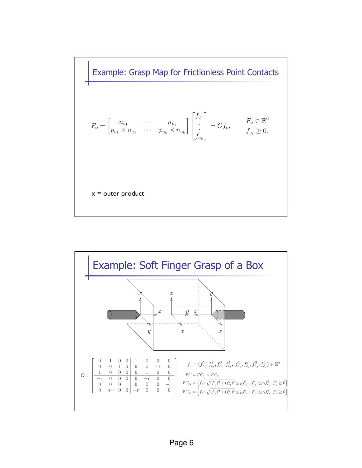Example: Grasp Map for Frictionless Point Contacts

$$
F_o = \begin{bmatrix} n_{c_1} & \cdots & n_{c_k} \\ p_{c_1} \times n_{c_1} & \cdots & p_{c_k} \times n_{c_k} \end{bmatrix} \begin{bmatrix} f_{c_1} \\ \vdots \\ f_{c_k} \end{bmatrix} = G f_c, \qquad \begin{aligned} F_o &\in \mathbb{R}^6 \\ f_{c_i} &\geq 0. \end{aligned}
$$

 $x =$  outer product

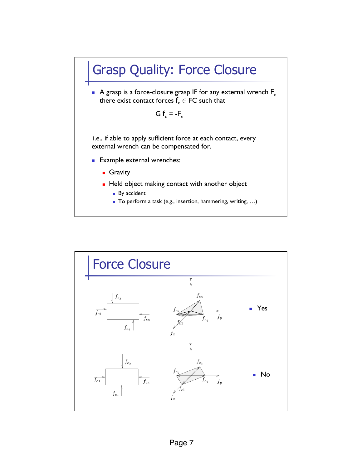